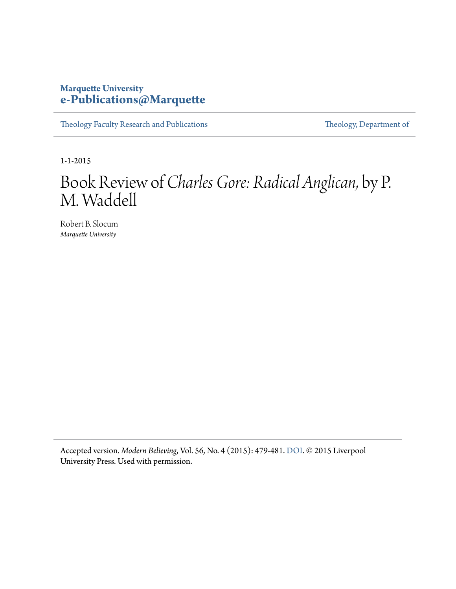#### **Marquette University [e-Publications@Marquette](https://epublications.marquette.edu)**

[Theology Faculty Research and Publications](https://epublications.marquette.edu/theo_fac) [Theology, Department of](https://epublications.marquette.edu/Theology)

1-1-2015

## Book Review of *Charles Gore: Radical Anglican,* by P. M. Waddell

Robert B. Slocum *Marquette University*

Accepted version. *Modern Believing*, Vol. 56, No. 4 (2015): 479-481. [DOI](https://doi.org/10.3828/mb.2015.36). © 2015 Liverpool University Press. Used with permission.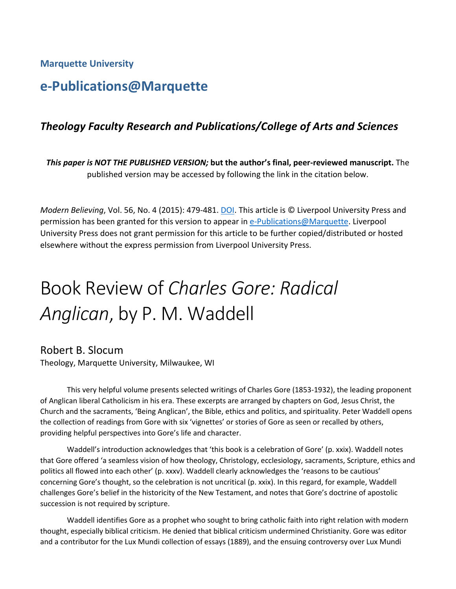**Marquette University** 

### **e-Publications@Marquette**

#### *Theology Faculty Research and Publications/College of Arts and Sciences*

*This paper is NOT THE PUBLISHED VERSION;* **but the author's final, peer-reviewed manuscript.** The published version may be accessed by following the link in the citation below.

*Modern Believing*, Vol. 56, No. 4 (2015): 479-481. **DOI. This article is © Liverpool University Press and** permission has been granted for this version to appear in [e-Publications@Marquette.](http://epublications.marquette.edu/) Liverpool University Press does not grant permission for this article to be further copied/distributed or hosted elsewhere without the express permission from Liverpool University Press.

# Book Review of *Charles Gore: Radical Anglican*, by P. M. Waddell

#### Robert B. Slocum

Theology, Marquette University, Milwaukee, WI

 This very helpful volume presents selected writings of Charles Gore (1853-1932), the leading proponent of Anglican liberal Catholicism in his era. These excerpts are arranged by chapters on God, Jesus Christ, the the collection of readings from Gore with six 'vignettes' or stories of Gore as seen or recalled by others, Church and the sacraments, 'Being Anglican', the Bible, ethics and politics, and spirituality. Peter Waddell opens providing helpful perspectives into Gore's life and character.

 Waddell's introduction acknowledges that 'this book is a celebration of Gore' (p. xxix). Waddell notes that Gore offered 'a seamless vision of how theology, Christology, ecclesiology, sacraments, Scripture, ethics and challenges Gore's belief in the historicity of the New Testament, and notes that Gore's doctrine of apostolic politics all flowed into each other' (p. xxxv). Waddell clearly acknowledges the 'reasons to be cautious' concerning Gore's thought, so the celebration is not uncritical (p. xxix). In this regard, for example, Waddell succession is not required by scripture.

 and a contributor for the Lux Mundi collection of essays (1889), and the ensuing controversy over Lux Mundi Waddell identifies Gore as a prophet who sought to bring catholic faith into right relation with modern thought, especially biblical criticism. He denied that biblical criticism undermined Christianity. Gore was editor